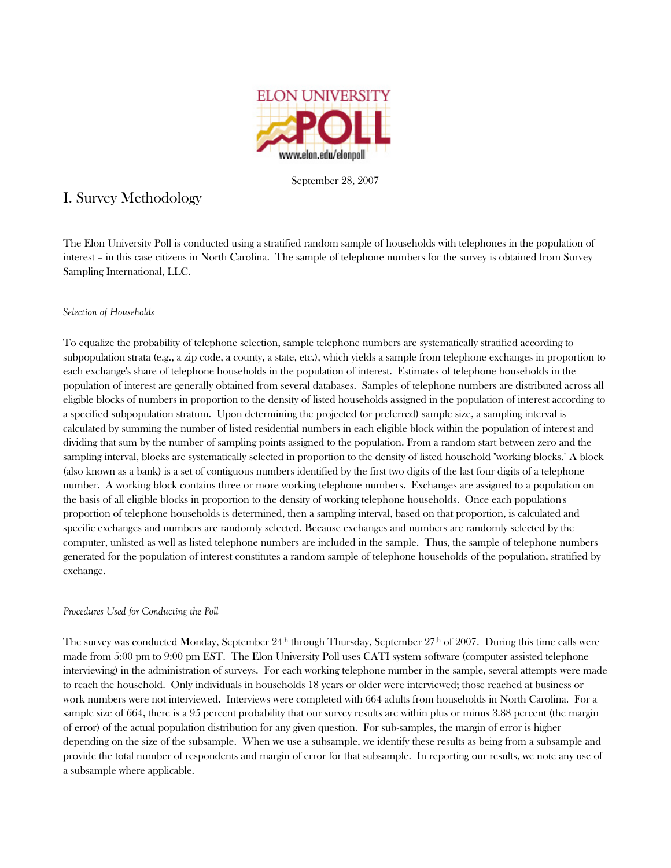

September 28, 2007

# I. Survey Methodology

The Elon University Poll is conducted using a stratified random sample of households with telephones in the population of interest – in this case citizens in North Carolina. The sample of telephone numbers for the survey is obtained from Survey Sampling International, LLC.

# *Selection of Households*

To equalize the probability of telephone selection, sample telephone numbers are systematically stratified according to subpopulation strata (e.g., a zip code, a county, a state, etc.), which yields a sample from telephone exchanges in proportion to each exchange's share of telephone households in the population of interest. Estimates of telephone households in the population of interest are generally obtained from several databases. Samples of telephone numbers are distributed across all eligible blocks of numbers in proportion to the density of listed households assigned in the population of interest according to a specified subpopulation stratum. Upon determining the projected (or preferred) sample size, a sampling interval is calculated by summing the number of listed residential numbers in each eligible block within the population of interest and dividing that sum by the number of sampling points assigned to the population. From a random start between zero and the sampling interval, blocks are systematically selected in proportion to the density of listed household "working blocks." A block (also known as a bank) is a set of contiguous numbers identified by the first two digits of the last four digits of a telephone number. A working block contains three or more working telephone numbers. Exchanges are assigned to a population on the basis of all eligible blocks in proportion to the density of working telephone households. Once each population's proportion of telephone households is determined, then a sampling interval, based on that proportion, is calculated and specific exchanges and numbers are randomly selected. Because exchanges and numbers are randomly selected by the computer, unlisted as well as listed telephone numbers are included in the sample. Thus, the sample of telephone numbers generated for the population of interest constitutes a random sample of telephone households of the population, stratified by exchange.

# *Procedures Used for Conducting the Poll*

The survey was conducted Monday, September  $24<sup>th</sup>$  through Thursday, September  $27<sup>th</sup>$  of  $2007$ . During this time calls were made from 5:00 pm to 9:00 pm EST. The Elon University Poll uses CATI system software (computer assisted telephone interviewing) in the administration of surveys. For each working telephone number in the sample, several attempts were made to reach the household. Only individuals in households 18 years or older were interviewed; those reached at business or work numbers were not interviewed. Interviews were completed with 664 adults from households in North Carolina. For a sample size of 664, there is a 95 percent probability that our survey results are within plus or minus 3.88 percent (the margin of error) of the actual population distribution for any given question. For sub-samples, the margin of error is higher depending on the size of the subsample. When we use a subsample, we identify these results as being from a subsample and provide the total number of respondents and margin of error for that subsample. In reporting our results, we note any use of a subsample where applicable.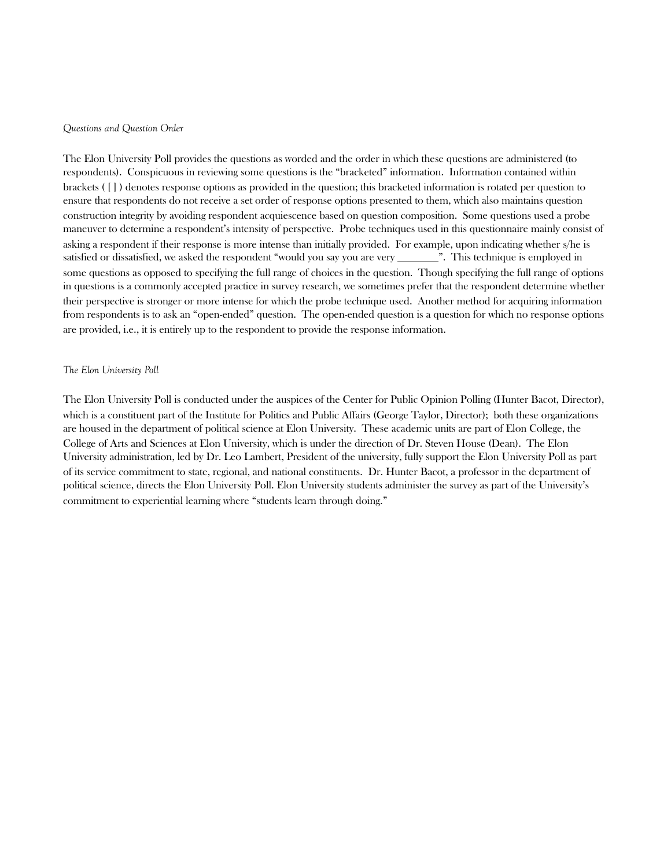#### *Questions and Question Order*

The Elon University Poll provides the questions as worded and the order in which these questions are administered (to respondents). Conspicuous in reviewing some questions is the "bracketed" information. Information contained within brackets ( [ ] ) denotes response options as provided in the question; this bracketed information is rotated per question to ensure that respondents do not receive a set order of response options presented to them, which also maintains question construction integrity by avoiding respondent acquiescence based on question composition. Some questions used a probe maneuver to determine a respondent's intensity of perspective. Probe techniques used in this questionnaire mainly consist of asking a respondent if their response is more intense than initially provided. For example, upon indicating whether s/he is satisfied or dissatisfied, we asked the respondent "would you say you are very \_\_\_\_\_\_\_\_\_\_". This technique is employed in some questions as opposed to specifying the full range of choices in the question. Though specifying the full range of options in questions is a commonly accepted practice in survey research, we sometimes prefer that the respondent determine whether their perspective is stronger or more intense for which the probe technique used. Another method for acquiring information from respondents is to ask an "open-ended" question. The open-ended question is a question for which no response options are provided, i.e., it is entirely up to the respondent to provide the response information.

#### *The Elon University Poll*

The Elon University Poll is conducted under the auspices of the Center for Public Opinion Polling (Hunter Bacot, Director), which is a constituent part of the Institute for Politics and Public Affairs (George Taylor, Director); both these organizations are housed in the department of political science at Elon University. These academic units are part of Elon College, the College of Arts and Sciences at Elon University, which is under the direction of Dr. Steven House (Dean). The Elon University administration, led by Dr. Leo Lambert, President of the university, fully support the Elon University Poll as part of its service commitment to state, regional, and national constituents. Dr. Hunter Bacot, a professor in the department of political science, directs the Elon University Poll. Elon University students administer the survey as part of the University's commitment to experiential learning where "students learn through doing."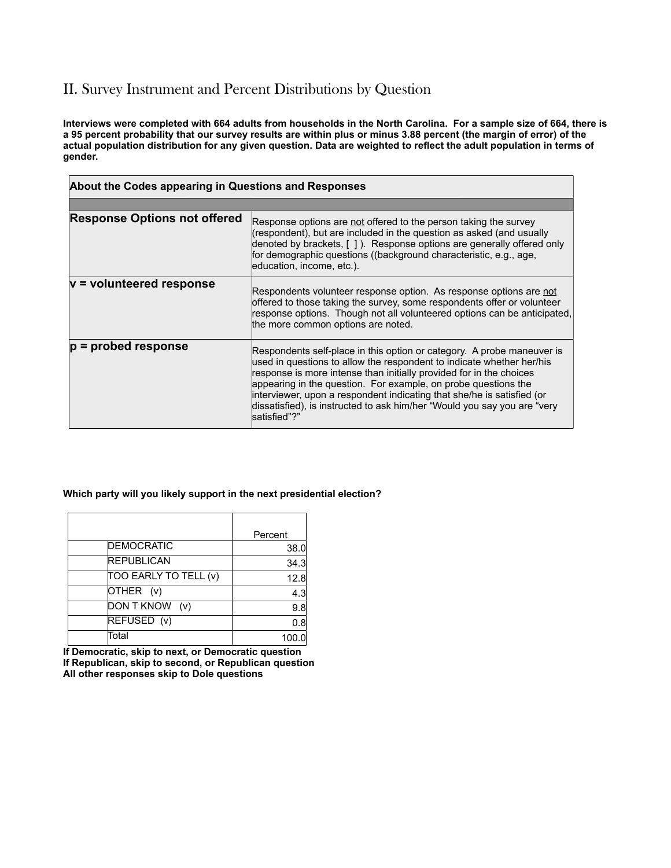# II. Survey Instrument and Percent Distributions by Question

**Interviews were completed with 664 adults from households in the North Carolina. For a sample size of 664, there is a 95 percent probability that our survey results are within plus or minus 3.88 percent (the margin of error) of the actual population distribution for any given question. Data are weighted to reflect the adult population in terms of gender.** 

| About the Codes appearing in Questions and Responses |                                                                                                                                                                                                                                                                                                                                                                                                                                                                |
|------------------------------------------------------|----------------------------------------------------------------------------------------------------------------------------------------------------------------------------------------------------------------------------------------------------------------------------------------------------------------------------------------------------------------------------------------------------------------------------------------------------------------|
|                                                      |                                                                                                                                                                                                                                                                                                                                                                                                                                                                |
| <b>Response Options not offered</b>                  | Response options are not offered to the person taking the survey<br>(respondent), but are included in the question as asked (and usually<br>denoted by brackets, [ ]). Response options are generally offered only<br>for demographic questions ((background characteristic, e.g., age,<br>education, income, etc.).                                                                                                                                           |
| $v =$ volunteered response                           | Respondents volunteer response option. As response options are not<br>offered to those taking the survey, some respondents offer or volunteer<br>response options. Though not all volunteered options can be anticipated,<br>the more common options are noted.                                                                                                                                                                                                |
| $p =$ probed response                                | Respondents self-place in this option or category. A probe maneuver is<br>used in questions to allow the respondent to indicate whether her/his<br>response is more intense than initially provided for in the choices<br>appearing in the question. For example, on probe questions the<br>interviewer, upon a respondent indicating that she/he is satisfied (or<br>dissatisfied), is instructed to ask him/her "Would you say you are "very<br>satisfied"?" |

#### **Which party will you likely support in the next presidential election?**

|                       | Percent |
|-----------------------|---------|
| <b>DEMOCRATIC</b>     | 38.0    |
| <b>REPUBLICAN</b>     | 34.3    |
| TOO EARLY TO TELL (v) | 12.8    |
| OTHER (v)             | 4.3     |
| DON T KNOW (v)        | 9.8     |
| REFUSED (v)           | 0.8     |
| Total                 | 100.0   |

**If Democratic, skip to next, or Democratic question If Republican, skip to second, or Republican question All other responses skip to Dole questions**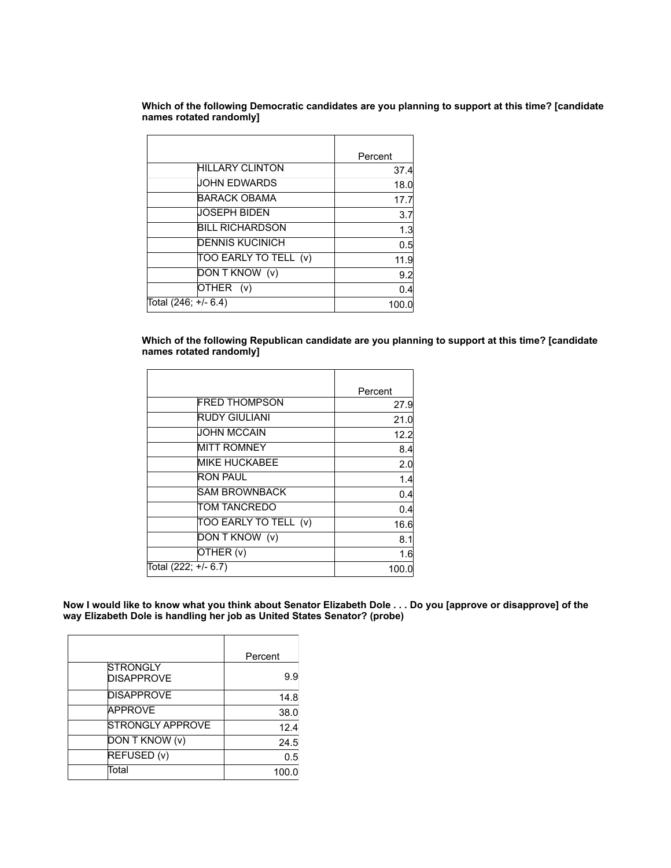**Which of the following Democratic candidates are you planning to support at this time? [candidate names rotated randomly]**

|                        | Percent |
|------------------------|---------|
| <b>HILLARY CLINTON</b> | 37.4    |
| <b>JOHN EDWARDS</b>    | 18.0    |
| BARACK OBAMA           | 17.7    |
| JOSEPH BIDEN           | 3.7     |
| BILL RICHARDSON        | 1.3     |
| <b>DENNIS KUCINICH</b> | 0.5     |
| TOO EARLY TO TELL (v)  | 11.9    |
| DON T KNOW (v)         | 9.2     |
| OTHER (v)              | 0.4     |
| Total (246; +/- 6.4)   | 100.0   |
|                        |         |

**Which of the following Republican candidate are you planning to support at this time? [candidate names rotated randomly]**

|                       | Percent |
|-----------------------|---------|
| <b>FRED THOMPSON</b>  | 27.9    |
| <b>RUDY GIULIANI</b>  | 21.0    |
| <b>JOHN MCCAIN</b>    | 12.2    |
| <b>MITT ROMNEY</b>    | 8.4     |
| <b>MIKE HUCKABEE</b>  | 2.0     |
| <b>RON PAUL</b>       | 1.4     |
| SAM BROWNBACK         | 0.4     |
| TOM TANCREDO          | 0.4     |
| TOO EARLY TO TELL (v) | 16.6    |
| DON T KNOW (v)        | 8.1     |
| OTHER (v)             | 1.6     |
| Total (222; +/- 6.7)  | 100.0   |

**Now I would like to know what you think about Senator Elizabeth Dole . . . Do you [approve or disapprove] of the way Elizabeth Dole is handling her job as United States Senator? (probe)**

|                                      | Percent |
|--------------------------------------|---------|
| <b>STRONGLY</b><br><b>DISAPPROVE</b> | 9.9     |
| <b>DISAPPROVE</b>                    | 14.8    |
| <b>APPROVE</b>                       | 38.0    |
| <b>STRONGLY APPROVE</b>              | 12.4    |
| DON T KNOW (v)                       | 24.5    |
| REFUSED (v)                          | 0.5     |
| Total                                | 100.0   |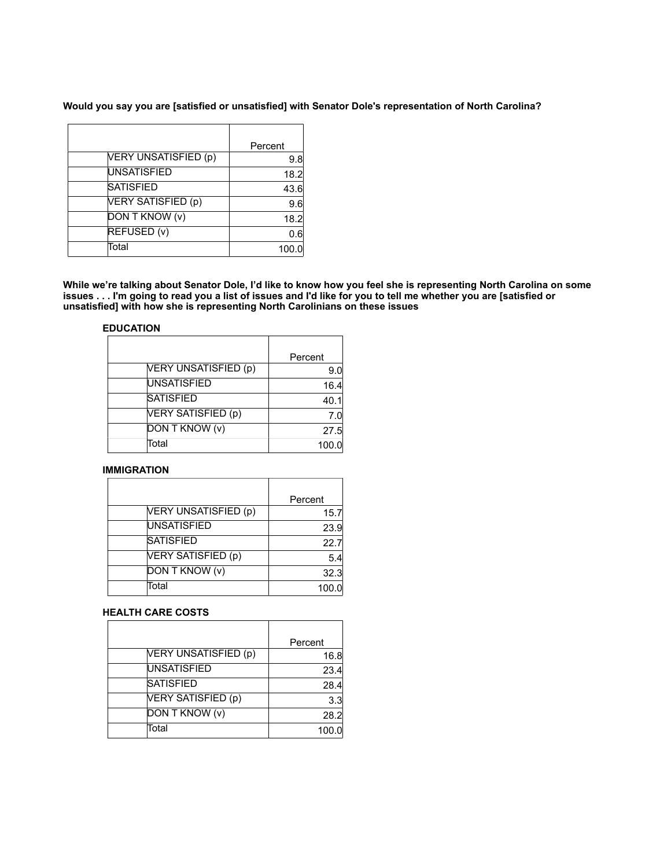**Would you say you are [satisfied or unsatisfied] with Senator Dole's representation of North Carolina?**

|                      | Percent |
|----------------------|---------|
| VERY UNSATISFIED (p) | 9.8     |
| <b>UNSATISFIED</b>   | 18.2    |
| <b>SATISFIED</b>     | 43.6    |
| VERY SATISFIED (p)   | 9.6     |
| DON T KNOW (v)       | 18.2    |
| REFUSED (v)          | 0.6     |
| Total                | 100.0   |

**While we're talking about Senator Dole, I'd like to know how you feel she is representing North Carolina on some issues . . . I'm going to read you a list of issues and I'd like for you to tell me whether you are [satisfied or unsatisfied] with how she is representing North Carolinians on these issues** 

## **EDUCATION**

|                      | Percent |
|----------------------|---------|
| VERY UNSATISFIED (p) | 9.0     |
| <b>UNSATISFIED</b>   | 16.4    |
| <b>SATISFIED</b>     | 40.1    |
| VERY SATISFIED (p)   | 7.0     |
| DON T KNOW (v)       | 27.5    |
| Total                | 100.0   |

# **IMMIGRATION**

|                       | Percent |
|-----------------------|---------|
| VERY UNSATISFIED (p)  | 15.7    |
| <b>UNSATISFIED</b>    | 23.9    |
| <b>SATISFIED</b>      | 22.7    |
| VERY SATISFIED (p)    | 5.4     |
| <b>DON T KNOW (v)</b> | 32.3    |
| Total                 | 100.0   |

# **HEALTH CARE COSTS**

|                      | Percent |
|----------------------|---------|
| VERY UNSATISFIED (p) | 16.8    |
| <b>UNSATISFIED</b>   | 23.4    |
| <b>SATISFIED</b>     | 28.4    |
| VERY SATISFIED (p)   | 3.3     |
| DON T KNOW (v)       | 28.2    |
| Total                | 100.0   |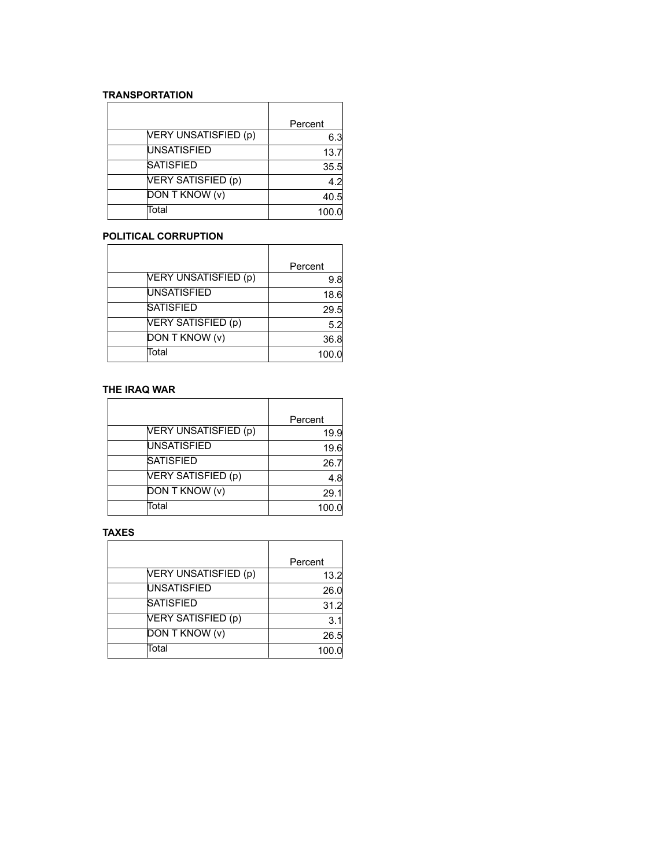# **TRANSPORTATION**

|                      | Percent |
|----------------------|---------|
| VERY UNSATISFIED (p) | 6.3     |
| <b>UNSATISFIED</b>   | 13.7    |
| <b>SATISFIED</b>     | 35.5    |
| VERY SATISFIED (p)   | 4.2     |
| DON T KNOW (v)       | 40.5    |
| Total                | 100.0   |

# **POLITICAL CORRUPTION**

|                      | Percent |
|----------------------|---------|
| VERY UNSATISFIED (p) | 9.8     |
| <b>UNSATISFIED</b>   | 18.6    |
| <b>SATISFIED</b>     | 29.5    |
| VERY SATISFIED (p)   | 5.2     |
| DON T KNOW (v)       | 36.8    |
| Total                | 100.0   |

# **THE IRAQ WAR**

|                      | Percent |
|----------------------|---------|
| VERY UNSATISFIED (p) | 19.9    |
| <b>UNSATISFIED</b>   | 19.6    |
| <b>SATISFIED</b>     | 26.7    |
| VERY SATISFIED (p)   | 4.8     |
| DON T KNOW (v)       | 29.1    |
| Total                | 100.0   |

# **TAXES**

|                       | Percent |
|-----------------------|---------|
| VERY UNSATISFIED (p)  | 13.2    |
| <b>UNSATISFIED</b>    | 26.0    |
| <b>SATISFIED</b>      | 31.2    |
| VERY SATISFIED (p)    | 3.1     |
| <b>DON T KNOW (v)</b> | 26.5    |
| Total                 | 100     |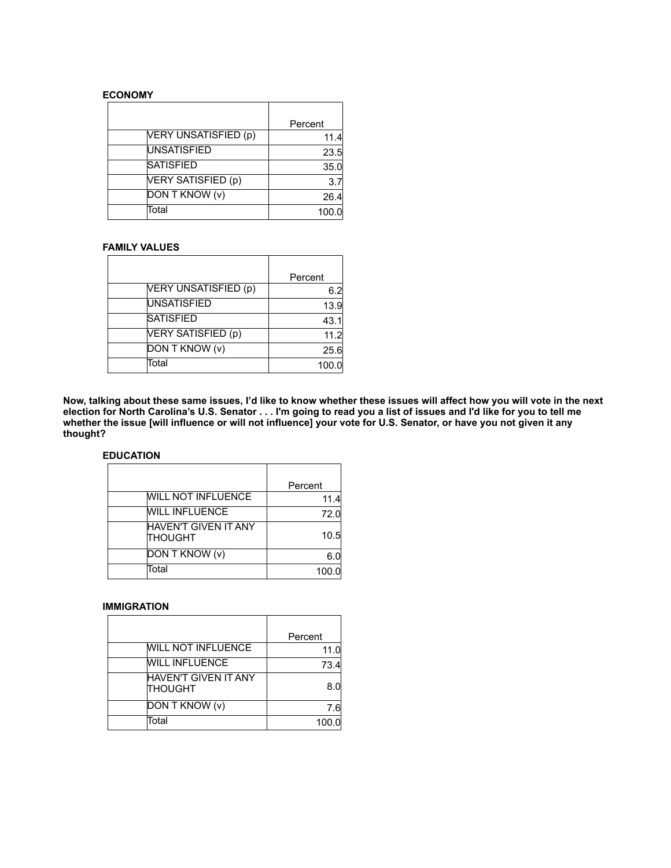#### **ECONOMY**

|                      | Percent |
|----------------------|---------|
| VERY UNSATISFIED (p) | 11.4    |
| <b>UNSATISFIED</b>   | 23.5    |
| <b>SATISFIED</b>     | 35.0    |
| VERY SATISFIED (p)   | 3.7     |
| DON T KNOW (v)       | 26.4    |
| Total                | 100.0   |

## **FAMILY VALUES**

|                      | Percent |
|----------------------|---------|
| VERY UNSATISFIED (p) | 6.2     |
| <b>UNSATISFIED</b>   | 13.9    |
| <b>SATISFIED</b>     | 43.1    |
| VERY SATISFIED (p)   | 11.2    |
| DON T KNOW (v)       | 25.6    |
| Total                | 100.0   |

**Now, talking about these same issues, I'd like to know whether these issues will affect how you will vote in the next election for North Carolina's U.S. Senator . . . I'm going to read you a list of issues and I'd like for you to tell me whether the issue [will influence or will not influence] your vote for U.S. Senator, or have you not given it any thought?** 

# **EDUCATION**

|                                               | Percent |
|-----------------------------------------------|---------|
| <b>WILL NOT INFLUENCE</b>                     | 11.4    |
| <b>WILL INFLUENCE</b>                         | 72.0    |
| <b>HAVEN'T GIVEN IT ANY</b><br><b>THOUGHT</b> | 10.5    |
| DON T KNOW (v)                                | 6.0     |
| Total                                         | 100.0   |

#### **IMMIGRATION**

|                                        | Percent |
|----------------------------------------|---------|
| <b>WILL NOT INFLUENCE</b>              | 11.0    |
| <b>WILL INFLUENCE</b>                  | 73.4    |
| HAVEN'T GIVEN IT ANY<br><b>THOUGHT</b> | 8.N     |
| DON T KNOW (v)                         | 7.6     |
| Total                                  | 100.0   |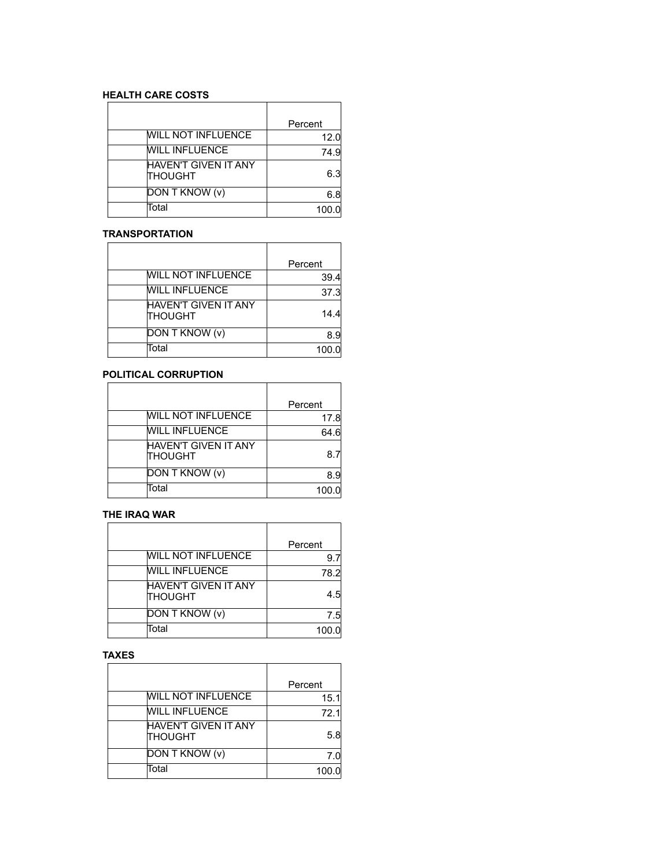# **HEALTH CARE COSTS**

|                                        | Percent |
|----------------------------------------|---------|
| <b>WILL NOT INFLUENCE</b>              | 12.0    |
| <b>WILL INFLUENCE</b>                  | 74.9    |
| HAVEN'T GIVEN IT ANY<br><b>THOUGHT</b> | 6.3     |
| <b>DON T KNOW (v)</b>                  | 6.8     |
| Total                                  | 100.0   |

## **TRANSPORTATION**

|                                        | Percent |
|----------------------------------------|---------|
| <b>WILL NOT INFLUENCE</b>              | 39.4    |
| <b>WILL INFLUENCE</b>                  | 37.3    |
| HAVEN'T GIVEN IT ANY<br><b>THOUGHT</b> | 14.4    |
| DON T KNOW (v)                         | 8.9     |
| Total                                  | 100.0   |

# **POLITICAL CORRUPTION**

|                                        | Percent |
|----------------------------------------|---------|
| <b>WILL NOT INFLUENCE</b>              | 17.8    |
| <b>WILL INFLUENCE</b>                  | 64.6    |
| HAVEN'T GIVEN IT ANY<br><b>THOUGHT</b> | 8.7     |
| DON T KNOW (v)                         | 8.9     |
| Total                                  | 100.0   |

#### **THE IRAQ WAR**

|                                        | Percent |
|----------------------------------------|---------|
| <b>WILL NOT INFLUENCE</b>              | 9.7     |
| <b>WILL INFLUENCE</b>                  | 78.2    |
| HAVEN'T GIVEN IT ANY<br><b>THOUGHT</b> | 4.5     |
| DON T KNOW (v)                         | 7.5     |
| Total                                  | 100.0   |

# **TAXES**

|                                  | Percent |
|----------------------------------|---------|
| <b>WILL NOT INFLUENCE</b>        | 15.1    |
| <b>WILL INFLUENCE</b>            | 72.1    |
| HAVEN'T GIVEN IT ANY<br>ITHOUGHT | 5.8     |
| DON T KNOW (v)                   | 7.0     |
| Total                            | 100.0   |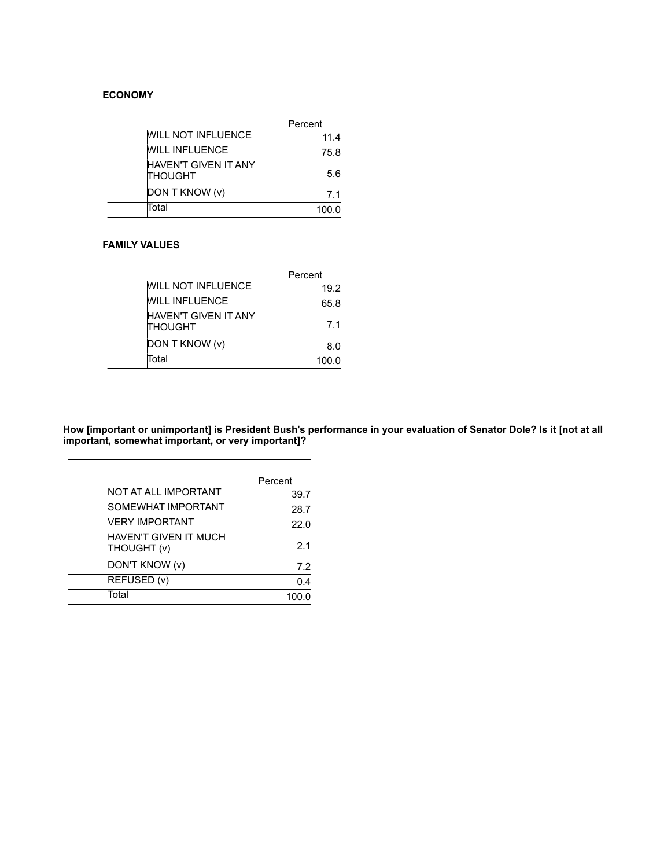# **ECONOMY**

|                                        | Percent |
|----------------------------------------|---------|
| <b>WILL NOT INFLUENCE</b>              | 11.4    |
| <b>WILL INFLUENCE</b>                  | 75.8    |
| HAVEN'T GIVEN IT ANY<br><b>THOUGHT</b> | 5.6     |
| DON T KNOW (v)                         | 7.1     |
| Total                                  | 100.0   |

## **FAMILY VALUES**

|                                        | Percent |
|----------------------------------------|---------|
| <b>WILL NOT INFLUENCE</b>              | 19.2    |
| <b>WILL INFLUENCE</b>                  | 65.8    |
| <b>HAVEN'T GIVEN IT ANY</b><br>THOUGHT | 7.1     |
| DON T KNOW (v)                         | 8.0     |
| Total                                  | 100.0   |

**How [important or unimportant] is President Bush's performance in your evaluation of Senator Dole? Is it [not at all important, somewhat important, or very important]?**

|                                      | Percent |
|--------------------------------------|---------|
| NOT AT ALL IMPORTANT                 | 39.7    |
| SOMEWHAT IMPORTANT                   | 28.7    |
| VERY IMPORTANT                       | 22.0    |
| HAVEN'T GIVEN IT MUCH<br>(v) THOUGHT | 2.1     |
| DON'T KNOW (v)                       | 7.2     |
| REFUSED (v)                          | 0.4     |
| Total                                | 100.0   |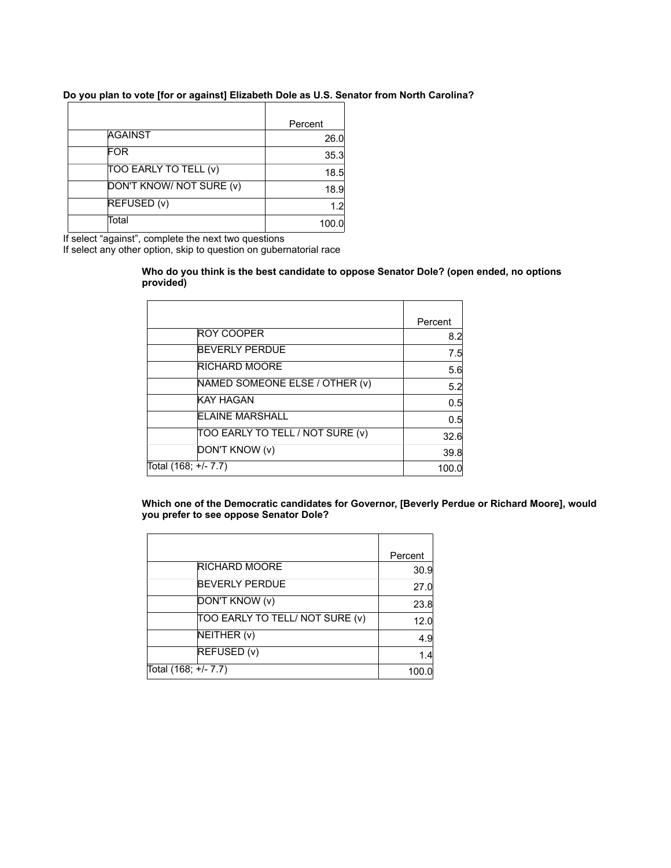# **Do you plan to vote [for or against] Elizabeth Dole as U.S. Senator from North Carolina?**

|                          | Percent |
|--------------------------|---------|
| <b>AGAINST</b>           | 26.0    |
| FOR                      | 35.3    |
| TOO EARLY TO TELL (v)    | 18.5    |
| DON'T KNOW/ NOT SURE (v) | 18.9    |
| REFUSED (v)              | 1.2     |
| Total                    | 100.0   |

If select "against", complete the next two questions

If select any other option, skip to question on gubernatorial race

#### **Who do you think is the best candidate to oppose Senator Dole? (open ended, no options provided)**

| Percent |
|---------|
| 8.2     |
| 7.5     |
| 5.6     |
| 5.2     |
| 0.5     |
| 0.5     |
| 32.6    |
| 39.8    |
| 100.0   |
|         |

**Which one of the Democratic candidates for Governor, [Beverly Perdue or Richard Moore], would you prefer to see oppose Senator Dole?**

|                                 | Percent |
|---------------------------------|---------|
| <b>RICHARD MOORE</b>            | 30.9    |
| <b>BEVERLY PERDUE</b>           | 27.0    |
| DON'T KNOW (v)                  | 23.8    |
| TOO EARLY TO TELL/ NOT SURE (v) | 12.0    |
| NEITHER (v)                     | 4.9     |
| REFUSED (v)                     | 1.4     |
| Total (168; +/- 7.7)            | 100.0   |